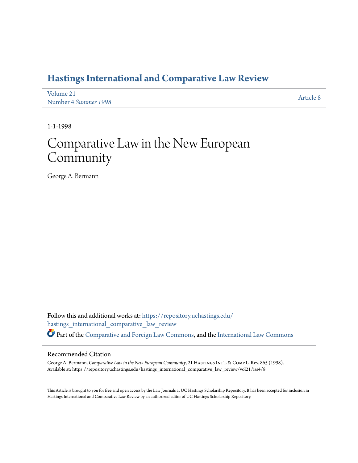# **[Hastings International and Comparative Law Review](https://repository.uchastings.edu/hastings_international_comparative_law_review?utm_source=repository.uchastings.edu%2Fhastings_international_comparative_law_review%2Fvol21%2Fiss4%2F8&utm_medium=PDF&utm_campaign=PDFCoverPages)**

| Volume 21            | Article 8 |
|----------------------|-----------|
| Number 4 Summer 1998 |           |

1-1-1998

# Comparative Law in the New European **Community**

George A. Bermann

Follow this and additional works at: [https://repository.uchastings.edu/](https://repository.uchastings.edu/hastings_international_comparative_law_review?utm_source=repository.uchastings.edu%2Fhastings_international_comparative_law_review%2Fvol21%2Fiss4%2F8&utm_medium=PDF&utm_campaign=PDFCoverPages) [hastings\\_international\\_comparative\\_law\\_review](https://repository.uchastings.edu/hastings_international_comparative_law_review?utm_source=repository.uchastings.edu%2Fhastings_international_comparative_law_review%2Fvol21%2Fiss4%2F8&utm_medium=PDF&utm_campaign=PDFCoverPages) Part of the [Comparative and Foreign Law Commons](http://network.bepress.com/hgg/discipline/836?utm_source=repository.uchastings.edu%2Fhastings_international_comparative_law_review%2Fvol21%2Fiss4%2F8&utm_medium=PDF&utm_campaign=PDFCoverPages), and the [International Law Commons](http://network.bepress.com/hgg/discipline/609?utm_source=repository.uchastings.edu%2Fhastings_international_comparative_law_review%2Fvol21%2Fiss4%2F8&utm_medium=PDF&utm_campaign=PDFCoverPages)

#### Recommended Citation

George A. Bermann, *Comparative Law in the New European Community*, 21 HASTINGS INT'L & COMP.L. Rev. 865 (1998). Available at: https://repository.uchastings.edu/hastings\_international\_comparative\_law\_review/vol21/iss4/8

This Article is brought to you for free and open access by the Law Journals at UC Hastings Scholarship Repository. It has been accepted for inclusion in Hastings International and Comparative Law Review by an authorized editor of UC Hastings Scholarship Repository.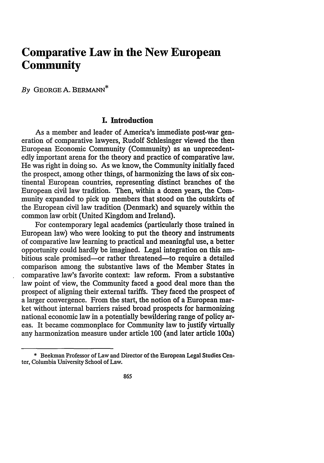# **Comparative Law in the New European Community**

*By* GEORGE A. BERMANN\*

#### **I. Introduction**

As a member and leader of America's immediate post-war generation of comparative lawyers, Rudolf Schlesinger viewed the then European Economic Community (Community) as an unprecedentedly important arena for the theory and practice of comparative law. He was right in doing so. As we know, the Community initially faced the prospect, among other things, of harmonizing the laws of six continental European countries, representing distinct branches of the European civil law tradition. Then, within a dozen years, the Community expanded to pick up members that stood on the outskirts of the European civil law tradition (Denmark) and squarely within the common law orbit (United Kingdom and Ireland).

For contemporary legal academics (particularly those trained in European law) who were looking to put the theory and instruments of comparative law learning to practical and meaningful use, a better opportunity could hardly be imagined. Legal integration on this ambitious scale promised—or rather threatened—to require a detailed comparison among the substantive laws of the Member States in comparative law's favorite context: law reform. From a substantive law point of view, the Community faced a good deal more than the prospect of aligning their external tariffs. They faced the prospect of a larger convergence. From the start, the notion of a European market without internal barriers raised broad prospects for harmonizing national economic law in a potentially bewildering range of policy areas. It became commonplace for Community law to justify virtually any harmonization measure under article **100** (and later article **100a)**

**<sup>\*</sup>** Beekman Professor of Law and Director of the European Legal Studies Center, Columbia University School of Lav.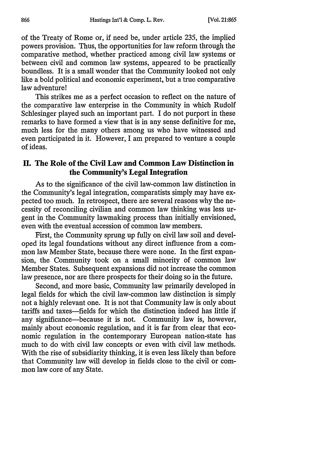of the Treaty of Rome or, if need be, under article 235, the implied powers provision. Thus, the opportunities for law reform through the comparative method, whether practiced among civil law systems or between civil and common law systems, appeared to be practically boundless. It is a small wonder that the Community looked not only like a bold political and economic experiment, but a true comparative law adventure!

This strikes me as a perfect occasion to reflect on the nature of the comparative law enterprise in the Community in which Rudolf Schlesinger played such an important part. I do not purport in these remarks to have formed a view that is in any sense definitive for me, much less for the many others among us who have witnessed and even participated in it. However, I am prepared to venture a couple of ideas.

## **H. The Role of the Civil Law and Common Law Distinction in the Community's Legal Integration**

As to the significance of the civil law-common law distinction in the Community's legal integration, comparatists simply may have expected too much. In retrospect, there are several reasons why the necessity of reconciling civilian and common law thinking was less urgent in the Community lawmaking process than initially envisioned, even with the eventual accession of common law members.

First, the Community sprung up fully on civil law soil and developed its legal foundations without any direct influence from a common law Member State, because there were none. In the first expansion, the Community took on a small minority of common law Member States. Subsequent expansions did not increase the common law presence, nor are there prospects for their doing so in the future.

Second, and more basic, Community law primarily developed in legal fields for which the civil law-common law distinction is simply not a highly relevant one. It is not that Community law is only about tariffs and taxes-fields for which the distinction indeed has little if any significance-because it is not. Community law is, however, mainly about economic regulation, and it is far from clear that economic regulation in the contemporary European nation-state has much to do with civil law concepts or even with civil law methods. With the rise of subsidiarity thinking, it is even less likely than before that Community law will develop in fields close to the civil or common law core of any State.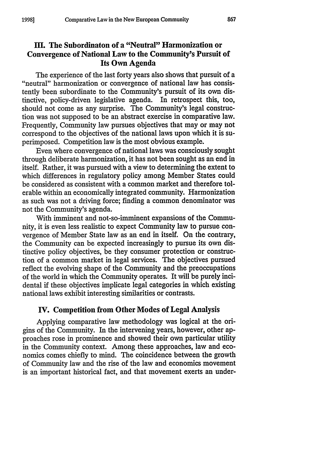# **III.** The Subordinaton of a "Neutral" Harmonization or **Convergence of National Law to the Community's Pursuit of Its Own Agenda**

The experience of the last forty years also shows that pursuit of a "neutral" harmonization or convergence of national law has consistently been subordinate to the Community's pursuit of its own distinctive, policy-driven legislative agenda. In retrospect this, too, should not come as any surprise. The Community's legal construction was not supposed to be an abstract exercise in comparative law. Frequently, Community law pursues objectives that may or may not correspond to the objectives of the national laws upon which it is superimposed. Competition law is the most obvious example.

Even where convergence of national laws was consciously sought through deliberate harmonization, it has not been sought as an end in itself. Rather, it was pursued with a view to determining the extent to which differences in regulatory policy among Member States could be considered as consistent with a common market and therefore tolerable within an economically integrated community. Harmonization as such was not a driving force; finding a common denominator was not the Community's agenda.

With imminent and not-so-imminent expansions of the Community, it is even less realistic to expect Community law to pursue convergence of Member State law as an end in itself. On the contrary, the Community can be expected increasingly to pursue its own distinctive policy objectives, be they consumer protection or construction of a common market in legal services. The objectives pursued reflect the evolving shape of the Community and the preoccupations of the world in which the Community operates. It will be purely incidental if these objectives implicate legal categories in which existing national laws exhibit interesting similarities or contrasts.

### **IV. Competition from** Other Modes **of Legal** Analysis

Applying comparative law methodology was logical at the **ori**gins of the Community. In the intervening years, however, other approaches rose in prominence and showed their own particular utility in the Community context. Among these approaches, law and economics comes chiefly to mind. The coincidence between the growth of Community law and the rise of the law and economics movement is an important historical fact, and that movement exerts an under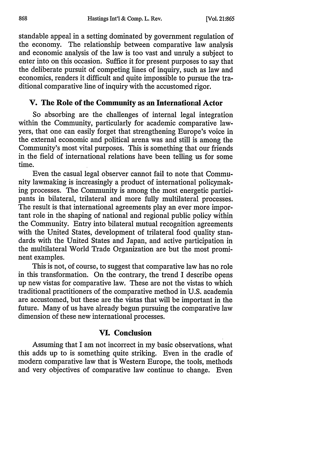standable appeal in a setting dominated **by** government regulation of the economy. The relationship between comparative law analysis and economic analysis of the law is too vast and unruly a subject to enter into on this occasion. Suffice it for present purposes to say that the deliberate pursuit of competing lines of inquiry, such as law and economics, renders it difficult and quite impossible to pursue the traditional comparative line of inquiry with the accustomed rigor.

#### **V. The Role of the Community as an International Actor**

So absorbing are the challenges of internal legal integration within the Community, particularly for academic comparative lawyers, that one can easily forget that strengthening Europe's voice in the external economic and political arena was and still is among the Community's most vital purposes. This is something that our friends in the field of international relations have been telling us for some time.

Even the casual legal observer cannot fail to note that Community lawmaking is increasingly a product of international policymaking processes. The Community is among the most energetic participants in bilateral, trilateral and more fully multilateral processes. The result is that international agreements play an ever more important role in the shaping of national and regional public policy within the Community. Entry into bilateral mutual recognition agreements with the United States, development of trilateral food quality standards with the United States and Japan, and active participation in the multilateral World Trade Organization are but the most prominent examples.

This is not, of course, to suggest that comparative law has no role in this transformation. On the contrary, the trend I describe opens up new vistas for comparative law. These are not the vistas to which traditional practitioners of the comparative method in **U.S.** academia are accustomed, but these are the vistas that will be important in the future. Many of us have already begun pursuing the comparative law dimension of these new international processes.

## **VI. Conclusion**

Assuming that I am not incorrect in my basic observations, what this adds up to is something quite striking. Even in the cradle of modern comparative law that is Western Europe, the tools, methods and very objectives of comparative law continue to change. Even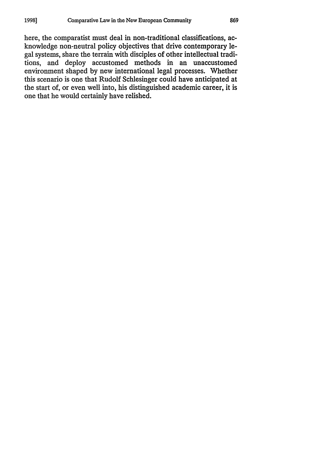here, the comparatist must deal in non-traditional classifications, acknowledge non-neutral policy objectives that drive contemporary legal systems, share the terrain with disciples of other intellectual traditions, and deploy accustomed methods in an unaccustomed environment shaped by new international legal processes. Whether this scenario is one that Rudolf Schlesinger could have anticipated at the start of, or even well into, his distinguished academic career, it is one that he would certainly have relished.